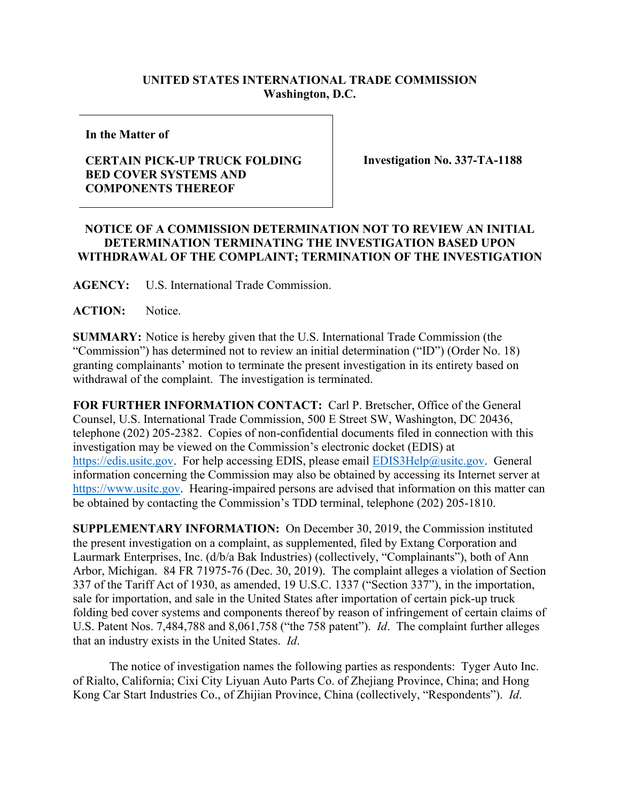## **UNITED STATES INTERNATIONAL TRADE COMMISSION Washington, D.C.**

**In the Matter of**

## **CERTAIN PICK-UP TRUCK FOLDING BED COVER SYSTEMS AND COMPONENTS THEREOF**

**Investigation No. 337-TA-1188**

## **NOTICE OF A COMMISSION DETERMINATION NOT TO REVIEW AN INITIAL DETERMINATION TERMINATING THE INVESTIGATION BASED UPON WITHDRAWAL OF THE COMPLAINT; TERMINATION OF THE INVESTIGATION**

**AGENCY:** U.S. International Trade Commission.

**ACTION:** Notice.

**SUMMARY:** Notice is hereby given that the U.S. International Trade Commission (the "Commission") has determined not to review an initial determination ("ID") (Order No. 18) granting complainants' motion to terminate the present investigation in its entirety based on withdrawal of the complaint. The investigation is terminated.

**FOR FURTHER INFORMATION CONTACT:** Carl P. Bretscher, Office of the General Counsel, U.S. International Trade Commission, 500 E Street SW, Washington, DC 20436, telephone (202) 205-2382. Copies of non-confidential documents filed in connection with this investigation may be viewed on the Commission's electronic docket (EDIS) at [https://edis.usitc.gov.](https://edis.usitc.gov/) For help accessing EDIS, please email **EDIS3Help@usitc.gov**. General information concerning the Commission may also be obtained by accessing its Internet server at [https://www.usitc.gov.](https://www.usitc.gov/) Hearing-impaired persons are advised that information on this matter can be obtained by contacting the Commission's TDD terminal, telephone (202) 205-1810.

**SUPPLEMENTARY INFORMATION:** On December 30, 2019, the Commission instituted the present investigation on a complaint, as supplemented, filed by Extang Corporation and Laurmark Enterprises, Inc. (d/b/a Bak Industries) (collectively, "Complainants"), both of Ann Arbor, Michigan. 84 FR 71975-76 (Dec. 30, 2019). The complaint alleges a violation of Section 337 of the Tariff Act of 1930, as amended, 19 U.S.C. 1337 ("Section 337"), in the importation, sale for importation, and sale in the United States after importation of certain pick-up truck folding bed cover systems and components thereof by reason of infringement of certain claims of U.S. Patent Nos. 7,484,788 and 8,061,758 ("the 758 patent"). *Id*. The complaint further alleges that an industry exists in the United States. *Id*.

The notice of investigation names the following parties as respondents: Tyger Auto Inc. of Rialto, California; Cixi City Liyuan Auto Parts Co. of Zhejiang Province, China; and Hong Kong Car Start Industries Co., of Zhijian Province, China (collectively, "Respondents"). *Id*.